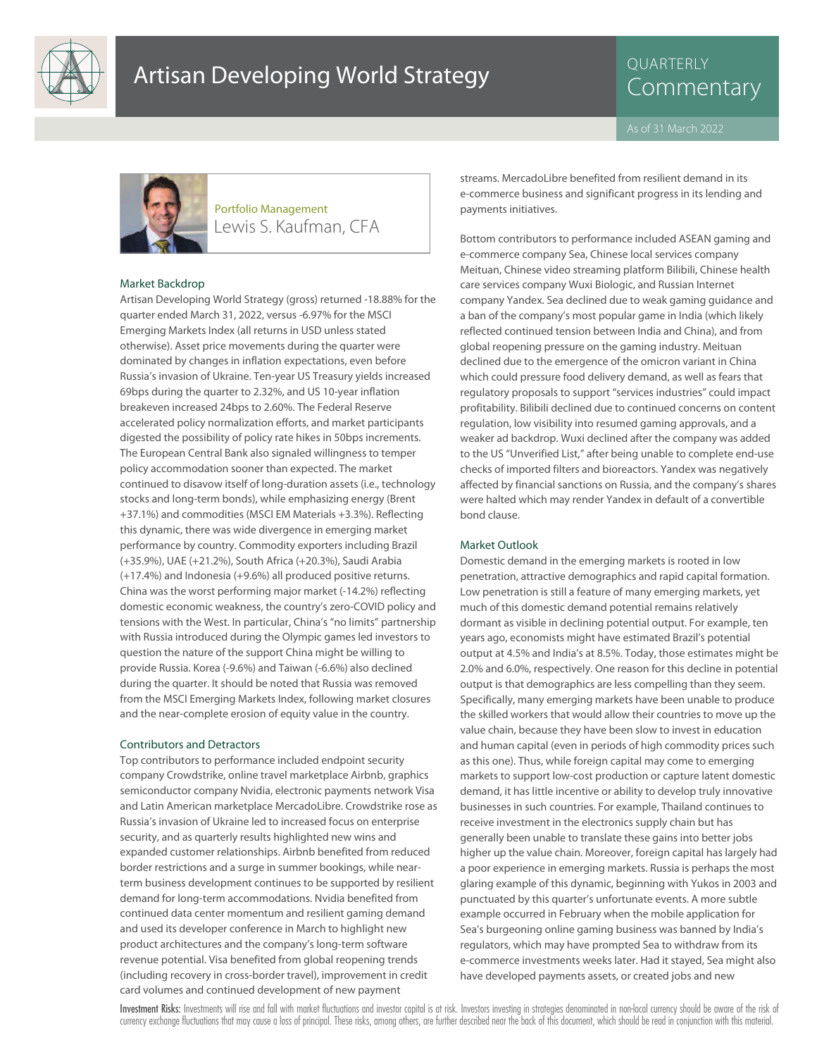

# QUARTERLY



### Lewis S. Kaufman, CFA Portfolio Management

#### Market Backdrop

Artisan Developing World Strategy (gross) returned -18.88% for the quarter ended March 31, 2022, versus -6.97% for the MSCI Emerging Markets Index (all returns in USD unless stated otherwise). Asset price movements during the quarter were dominated by changes in inflation expectations, even before Russia's invasion of Ukraine. Ten-year US Treasury yields increased 69bps during the quarter to 2.32%, and US 10-year inflation breakeven increased 24bps to 2.60%. The Federal Reserve accelerated policy normalization efforts, and market participants digested the possibility of policy rate hikes in 50bps increments. The European Central Bank also signaled willingness to temper policy accommodation sooner than expected. The market continued to disavow itself of long-duration assets (i.e., technology stocks and long-term bonds), while emphasizing energy (Brent +37.1%) and commodities (MSCI EM Materials +3.3%). Reflecting this dynamic, there was wide divergence in emerging market performance by country. Commodity exporters including Brazil (+35.9%), UAE (+21.2%), South Africa (+20.3%), Saudi Arabia (+17.4%) and Indonesia (+9.6%) all produced positive returns. China was the worst performing major market (-14.2%) reflecting domestic economic weakness, the country's zero-COVID policy and tensions with the West. In particular, China's "no limits" partnership with Russia introduced during the Olympic games led investors to question the nature of the support China might be willing to provide Russia. Korea (-9.6%) and Taiwan (-6.6%) also declined during the quarter. It should be noted that Russia was removed from the MSCI Emerging Markets Index, following market closures and the near-complete erosion of equity value in the country.

#### Contributors and Detractors

Top contributors to performance included endpoint security company Crowdstrike, online travel marketplace Airbnb, graphics semiconductor company Nvidia, electronic payments network Visa and Latin American marketplace MercadoLibre. Crowdstrike rose as Russia's invasion of Ukraine led to increased focus on enterprise security, and as quarterly results highlighted new wins and expanded customer relationships. Airbnb benefited from reduced border restrictions and a surge in summer bookings, while nearterm business development continues to be supported by resilient demand for long-term accommodations. Nvidia benefited from continued data center momentum and resilient gaming demand and used its developer conference in March to highlight new product architectures and the company's long-term software revenue potential. Visa benefited from global reopening trends (including recovery in cross-border travel), improvement in credit card volumes and continued development of new payment

streams. MercadoLibre benefited from resilient demand in its e-commerce business and significant progress in its lending and payments initiatives.

Bottom contributors to performance included ASEAN gaming and e-commerce company Sea, Chinese local services company Meituan, Chinese video streaming platform Bilibili, Chinese health care services company Wuxi Biologic, and Russian Internet company Yandex. Sea declined due to weak gaming guidance and a ban of the company's most popular game in India (which likely reflected continued tension between India and China), and from global reopening pressure on the gaming industry. Meituan declined due to the emergence of the omicron variant in China which could pressure food delivery demand, as well as fears that regulatory proposals to support "services industries" could impact profitability. Bilibili declined due to continued concerns on content regulation, low visibility into resumed gaming approvals, and a weaker ad backdrop. Wuxi declined after the company was added to the US "Unverified List," after being unable to complete end-use checks of imported filters and bioreactors. Yandex was negatively affected by financial sanctions on Russia, and the company's shares were halted which may render Yandex in default of a convertible bond clause.

#### Market Outlook

Domestic demand in the emerging markets is rooted in low penetration, attractive demographics and rapid capital formation. Low penetration is still a feature of many emerging markets, yet much of this domestic demand potential remains relatively dormant as visible in declining potential output. For example, ten years ago, economists might have estimated Brazil's potential output at 4.5% and India's at 8.5%. Today, those estimates might be 2.0% and 6.0%, respectively. One reason for this decline in potential output is that demographics are less compelling than they seem. Specifically, many emerging markets have been unable to produce the skilled workers that would allow their countries to move up the value chain, because they have been slow to invest in education and human capital (even in periods of high commodity prices such as this one). Thus, while foreign capital may come to emerging markets to support low-cost production or capture latent domestic demand, it has little incentive or ability to develop truly innovative businesses in such countries. For example, Thailand continues to receive investment in the electronics supply chain but has generally been unable to translate these gains into better jobs higher up the value chain. Moreover, foreign capital has largely had a poor experience in emerging markets. Russia is perhaps the most glaring example of this dynamic, beginning with Yukos in 2003 and punctuated by this quarter's unfortunate events. A more subtle example occurred in February when the mobile application for Sea's burgeoning online gaming business was banned by India's regulators, which may have prompted Sea to withdraw from its e-commerce investments weeks later. Had it stayed, Sea might also have developed payments assets, or created jobs and new

Investment Risks: Investments will rise and fall with market fluctuations and investor capital is at risk. Investors investing in strategies denominated in non-local currency should be aware of the risk of currency exchange fluctuations that may cause a loss of principal. These risks, among others, are further described near the back of this document, which should be read in conjunction with this material.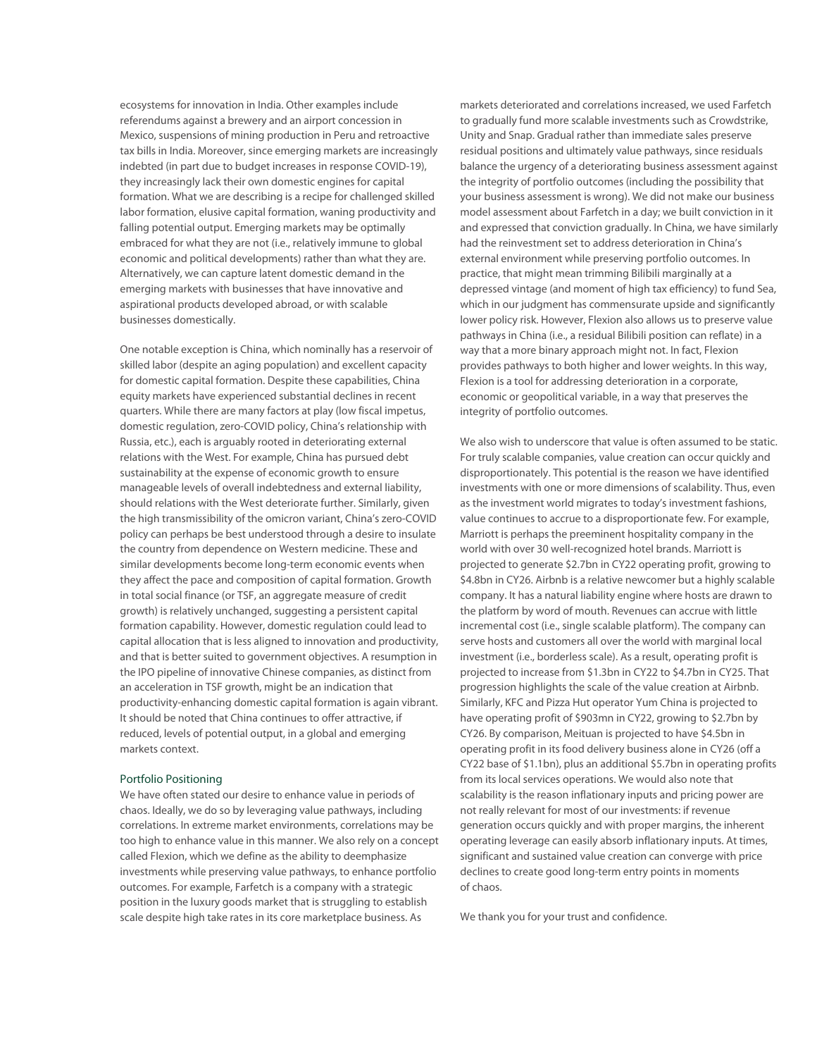ecosystems for innovation in India. Other examples include referendums against a brewery and an airport concession in Mexico, suspensions of mining production in Peru and retroactive tax bills in India. Moreover, since emerging markets are increasingly indebted (in part due to budget increases in response COVID-19), they increasingly lack their own domestic engines for capital formation. What we are describing is a recipe for challenged skilled labor formation, elusive capital formation, waning productivity and falling potential output. Emerging markets may be optimally embraced for what they are not (i.e., relatively immune to global economic and political developments) rather than what they are. Alternatively, we can capture latent domestic demand in the emerging markets with businesses that have innovative and aspirational products developed abroad, or with scalable businesses domestically.

One notable exception is China, which nominally has a reservoir of skilled labor (despite an aging population) and excellent capacity for domestic capital formation. Despite these capabilities, China equity markets have experienced substantial declines in recent quarters. While there are many factors at play (low fiscal impetus, domestic regulation, zero-COVID policy, China's relationship with Russia, etc.), each is arguably rooted in deteriorating external relations with the West. For example, China has pursued debt sustainability at the expense of economic growth to ensure manageable levels of overall indebtedness and external liability, should relations with the West deteriorate further. Similarly, given the high transmissibility of the omicron variant, China's zero-COVID policy can perhaps be best understood through a desire to insulate the country from dependence on Western medicine. These and similar developments become long-term economic events when they affect the pace and composition of capital formation. Growth in total social finance (or TSF, an aggregate measure of credit growth) is relatively unchanged, suggesting a persistent capital formation capability. However, domestic regulation could lead to capital allocation that is less aligned to innovation and productivity, and that is better suited to government objectives. A resumption in the IPO pipeline of innovative Chinese companies, as distinct from an acceleration in TSF growth, might be an indication that productivity-enhancing domestic capital formation is again vibrant. It should be noted that China continues to offer attractive, if reduced, levels of potential output, in a global and emerging markets context.

#### Portfolio Positioning

We have often stated our desire to enhance value in periods of chaos. Ideally, we do so by leveraging value pathways, including correlations. In extreme market environments, correlations may be too high to enhance value in this manner. We also rely on a concept called Flexion, which we define as the ability to deemphasize investments while preserving value pathways, to enhance portfolio outcomes. For example, Farfetch is a company with a strategic position in the luxury goods market that is struggling to establish scale despite high take rates in its core marketplace business. As

markets deteriorated and correlations increased, we used Farfetch to gradually fund more scalable investments such as Crowdstrike, Unity and Snap. Gradual rather than immediate sales preserve residual positions and ultimately value pathways, since residuals balance the urgency of a deteriorating business assessment against the integrity of portfolio outcomes (including the possibility that your business assessment is wrong). We did not make our business model assessment about Farfetch in a day; we built conviction in it and expressed that conviction gradually. In China, we have similarly had the reinvestment set to address deterioration in China's external environment while preserving portfolio outcomes. In practice, that might mean trimming Bilibili marginally at a depressed vintage (and moment of high tax efficiency) to fund Sea, which in our judgment has commensurate upside and significantly lower policy risk. However, Flexion also allows us to preserve value pathways in China (i.e., a residual Bilibili position can reflate) in a way that a more binary approach might not. In fact, Flexion provides pathways to both higher and lower weights. In this way, Flexion is a tool for addressing deterioration in a corporate, economic or geopolitical variable, in a way that preserves the integrity of portfolio outcomes.

We also wish to underscore that value is often assumed to be static. For truly scalable companies, value creation can occur quickly and disproportionately. This potential is the reason we have identified investments with one or more dimensions of scalability. Thus, even as the investment world migrates to today's investment fashions, value continues to accrue to a disproportionate few. For example, Marriott is perhaps the preeminent hospitality company in the world with over 30 well-recognized hotel brands. Marriott is projected to generate \$2.7bn in CY22 operating profit, growing to \$4.8bn in CY26. Airbnb is a relative newcomer but a highly scalable company. It has a natural liability engine where hosts are drawn to the platform by word of mouth. Revenues can accrue with little incremental cost (i.e., single scalable platform). The company can serve hosts and customers all over the world with marginal local investment (i.e., borderless scale). As a result, operating profit is projected to increase from \$1.3bn in CY22 to \$4.7bn in CY25. That progression highlights the scale of the value creation at Airbnb. Similarly, KFC and Pizza Hut operator Yum China is projected to have operating profit of \$903mn in CY22, growing to \$2.7bn by CY26. By comparison, Meituan is projected to have \$4.5bn in operating profit in its food delivery business alone in CY26 (off a CY22 base of \$1.1bn), plus an additional \$5.7bn in operating profits from its local services operations. We would also note that scalability is the reason inflationary inputs and pricing power are not really relevant for most of our investments: if revenue generation occurs quickly and with proper margins, the inherent operating leverage can easily absorb inflationary inputs. At times, significant and sustained value creation can converge with price declines to create good long-term entry points in moments of chaos.

We thank you for your trust and confidence.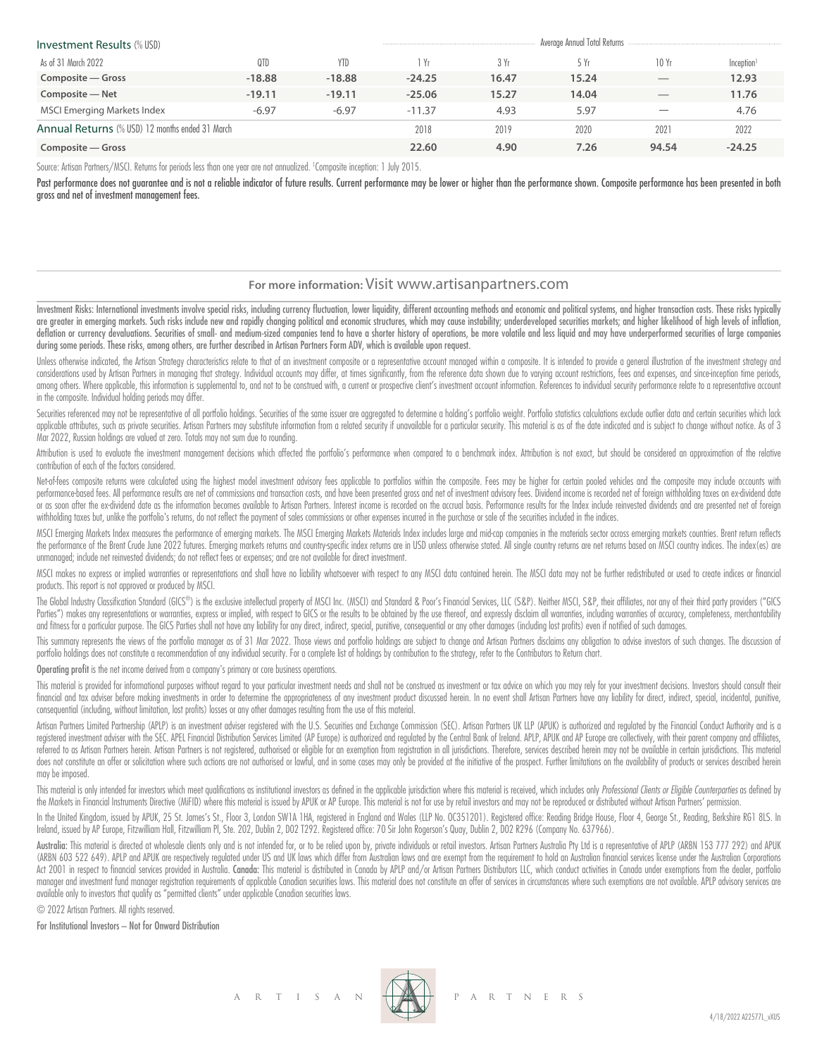| <b>Investment Results (% USD)</b>               |          | Average Annual Total Returns |          |       |       |                          |                        |
|-------------------------------------------------|----------|------------------------------|----------|-------|-------|--------------------------|------------------------|
| As of 31 March 2022                             | 0TD      | <b>YTD</b>                   | l Yr     | 3 Yr  | 5 Yr  | 10 Yr                    | Inception <sup>1</sup> |
| Composite – Gross                               | $-18.88$ | $-18.88$                     | $-24.25$ | 16.47 | 15.24 | $\overline{\phantom{a}}$ | 12.93                  |
| Composite - Net                                 | $-19.11$ | $-19.11$                     | $-25.06$ | 15.27 | 14.04 | $\overline{\phantom{a}}$ | 11.76                  |
| <b>MSCI Emerging Markets Index</b>              | $-6.97$  | $-6.97$                      | $-11.37$ | 4.93  | 5.97  |                          | 4.76                   |
| Annual Returns (% USD) 12 months ended 31 March |          |                              | 2018     | 2019  | 2020  | 2021                     | 2022                   |
| Composite – Gross                               |          |                              | 22.60    | 4.90  | 7.26  | 94.54                    | $-24.25$               |

Source: Artisan Partners/MSCI. Returns for periods less than one year are not annualized. <sup>1</sup> Composite inception: 1 July 2015.

Past performance does not guarantee and is not a reliable indicator of future results. Current performance may be lower or higher than the performance shown. Composite performance has been presented in both gross and net of investment management fees.

#### **For more information:** Visit www.artisanpartners.com

Investment Risks: International investments involve special risks, including currency fluctuation, lower liquidity, different accounting methods and economic and political systems, and higher transaction costs. These risks are greater in emerging markets. Such risks include new and rapidly changing political and economic structures, which may cause instability; underdeveloped securities markets; and higher likelihood of high levels of inflat deflation or currency devaluations. Securities of small- and medium-sized companies tend to have a shorter history of operations, be more volatile and less liquid and may have underperformed securities of large companies during some periods. These risks, among others, are further described in Artisan Partners Form ADV, which is available upon request.

Unless otherwise indicated, the Artisan Strategy characteristics relate to that of an investment composite or a representative account managed within a composite. It is intended to provide a general illustration of the inv considerations used by Artisan Partners in managing that strategy. Individual accounts may differ, at times significantly, from the reference data shown due to varying account restrictions, fees and expenses, and since inc among others. Where applicable, this information is supplemental to, and not to be construed with, a current or prospective client's investment account information. References to individual security performance relate to a in the composite. Individual holding periods may differ.

Securities referenced may not be representative of all portfolio holdings. Securities of the same issuer are aggregated to determine a holding's portfolio weight. Portfolio statistics calculations exclude outlier data and applicable attributes, such as private securities. Artisan Partners may substitute information from a related security if unavailable for a particular security. This material is as of the date indicated and is subject to c Mar 2022, Russian holdings are valued at zero. Totals may not sum due to rounding.

Attribution is used to evaluate the investment management decisions which affected the portfolio's performance when compared to a benchmark index. Attribution is not exact, but should be considered an approximation of the contribution of each of the factors considered.

Net-of-fees composite returns were calculated using the highest model investment advisory fees applicable to portfolios within the composite. Fees may be higher for certain pooled vehicles and the composite may include acc performance-based fees. All performance results are net of commissions and transaction costs, and have been presented gross and net of investment advisory fees. Dividend income is recorded net of foreign withholding taxes or as soon after the ex-dividend date as the information becomes available to Artisan Partners. Interest income is recorded on the accrual basis. Performance results for the Index include reinvested dividends and are prese withholding taxes but, unlike the portfolio's returns, do not reflect the payment of sales commissions or other expenses incurred in the purchase or sale of the securities included in the indices.

MSCI Emerging Markets Index measures the performance of emerging markets. The MSCI Emerging Markets Materials Index includes large and mid-cap companies in the materials sector across emerging markets countries. Brent retu the performance of the Brent Crude June 2022 futures. Emerging markets returns and country-specific index returns are in USD unless otherwise stated. All single country returns are net returns based on MSCI country indices unmanaged; include net reinvested dividends; do not reflect fees or expenses; and are not available for direct investment.

MSCI makes no express or implied warranties or representations and shall have no liability whatsoever with respect to any MSCI data contained herein. The MSCI data may not be further redistributed or used to create indices products. This report is not approved or produced by MSCI.

The Global Industry Classification Standard (GICS®) is the exclusive intellectual property of MSCI Inc. (MSCI) and Standard & Poor's Financial Services, LLC (S&P). Neither MSCI, S&P, their affiliates, nor any of their thir Parties") makes any representations or warranties, express or implied, with respect to GICS or the results to be obtained by the use thereof, and expressly disclaim all warranties, including warranties of accuracy, complet and fitness for a particular purpose. The GICS Parties shall not have any liability for any direct, indirect, special, punitive, consequential or any other damages (including lost profits) even if notified of such damages.

This summary represents the views of the portfolio manager as of 31 Mar 2022. Those views and portfolio holdings are subject to change and Artisan Partners disclaims any obligation to advise investors of such changes. The portfolio holdings does not constitute a recommendation of any individual security. For a complete list of holdings by contribution to the strategy, refer to the Contributors to Return chart.

Operating profit is the net income derived from a company's primary or core business operations.

This material is provided for informational purposes without regard to your particular investment needs and shall not be construed as investment or tax advice on which you may rely for your investment decisions. Investors financial and tax adviser before making investments in order to determine the appropriateness of any investment product discussed herein. In no event shall Artisan Partners have any liability for direct, indirect, special, consequential (including, without limitation, lost profits) losses or any other damages resulting from the use of this material.

Artisan Partners Limited Partnership (APLP) is an investment adviser registered with the U.S. Securities and Exchange Commission (SEC). Artisan Partners UK LLP (APUK) is authorized and regulated by the Financial Conduct Au registered investment adviser with the SEC. APEL Financial Distribution Services Limited (AP Europe) is authorized and regulated by the Central Bank of Ireland. APLP, APUK and AP Europe are collectively, with their parent referred to as Artisan Partners herein. Artisan Partners is not registered, authorised or eligible for an exemption from registration in all jurisdictions. Therefore, services described herein may not be available in certa does not constitute an offer or solicitation where such actions are not authorised or lawful, and in some cases may only be provided at the initiative of the prospect. Further limitations on the availability of products or may be imposed.

This material is only intended for investors which meet qualifications as institutional investors as defined in the applicable jurisdiction where this material is received, which includes only Professional Clients or Eligi the Markets in Financial Instruments Directive (MiFID) where this material is issued by APUK or AP Europe. This material is not for use by retail investors and may not be reproduced or distributed without Artisan Partners'

In the United Kingdom, issued by APUK, 25 St. James's St., Floor 3, London SW1A 1HA, registered in England and Wales (LLP No. OC351201). Registered office: Reading Bridge House, Floor 4, George St., Reading, Berkshire RG1 Ireland, issued by AP Europe, Fitzwilliam Hall, Fitzwilliam Pl, Ste. 202, Dublin 2, D02 T292. Registered office: 70 Sir John Rogerson's Quay, Dublin 2, D02 R296 (Company No. 637966).

Australia: This material is directed at wholesale clients only and is not intended for, or to be relied upon by, private individuals or retail investors. Artisan Partnes Australia Pty Ltd is a representative of APLP (ARBN (ARBN 603 522 649). APLP and APUK are respectively regulated under US and UK laws which differ from Australian laws and are exempt from the requirement to hold an Australian financial services license under the Australian Act 2001 in respect to financial services provided in Australia. Canada: This material is distributed in Canada by APLP and/or Artisan Partners Distributors LLC, which conduct activities in Canada under exemptions from the manager and investment fund manager registration requirements of applicable Canadian securities laws. This material does not constitute an offer of services in circumstances where such exemptions are not available. APLP ad available only to investors that qualify as "permitted clients" under applicable Canadian securities laws.

© 2022 Artisan Partners. All rights reserved.

For Institutional Investors – Not for Onward Distribution